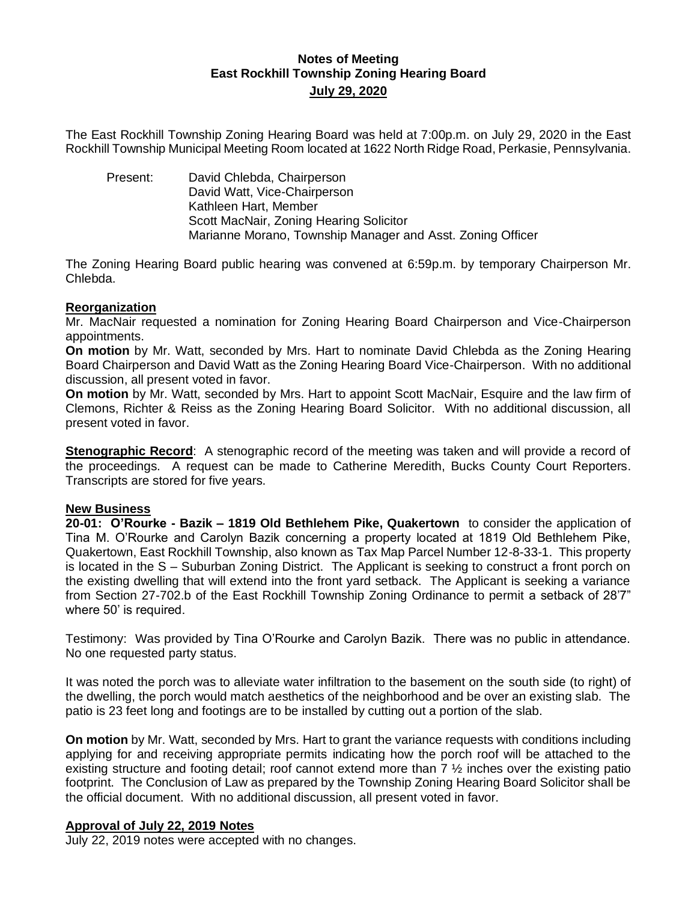# **Notes of Meeting East Rockhill Township Zoning Hearing Board July 29, 2020**

The East Rockhill Township Zoning Hearing Board was held at 7:00p.m. on July 29, 2020 in the East Rockhill Township Municipal Meeting Room located at 1622 North Ridge Road, Perkasie, Pennsylvania.

Present: David Chlebda, Chairperson David Watt, Vice-Chairperson Kathleen Hart, Member Scott MacNair, Zoning Hearing Solicitor Marianne Morano, Township Manager and Asst. Zoning Officer

The Zoning Hearing Board public hearing was convened at 6:59p.m. by temporary Chairperson Mr. Chlebda.

#### **Reorganization**

Mr. MacNair requested a nomination for Zoning Hearing Board Chairperson and Vice-Chairperson appointments.

**On motion** by Mr. Watt, seconded by Mrs. Hart to nominate David Chlebda as the Zoning Hearing Board Chairperson and David Watt as the Zoning Hearing Board Vice-Chairperson. With no additional discussion, all present voted in favor.

**On motion** by Mr. Watt, seconded by Mrs. Hart to appoint Scott MacNair, Esquire and the law firm of Clemons, Richter & Reiss as the Zoning Hearing Board Solicitor. With no additional discussion, all present voted in favor.

**Stenographic Record**: A stenographic record of the meeting was taken and will provide a record of the proceedings. A request can be made to Catherine Meredith, Bucks County Court Reporters. Transcripts are stored for five years.

## **New Business**

**20-01: O'Rourke - Bazik – 1819 Old Bethlehem Pike, Quakertown** to consider the application of Tina M. O'Rourke and Carolyn Bazik concerning a property located at 1819 Old Bethlehem Pike, Quakertown, East Rockhill Township, also known as Tax Map Parcel Number 12-8-33-1. This property is located in the S – Suburban Zoning District. The Applicant is seeking to construct a front porch on the existing dwelling that will extend into the front yard setback. The Applicant is seeking a variance from Section 27-702.b of the East Rockhill Township Zoning Ordinance to permit a setback of 28'7" where 50' is required.

Testimony: Was provided by Tina O'Rourke and Carolyn Bazik. There was no public in attendance. No one requested party status.

It was noted the porch was to alleviate water infiltration to the basement on the south side (to right) of the dwelling, the porch would match aesthetics of the neighborhood and be over an existing slab. The patio is 23 feet long and footings are to be installed by cutting out a portion of the slab.

**On motion** by Mr. Watt, seconded by Mrs. Hart to grant the variance requests with conditions including applying for and receiving appropriate permits indicating how the porch roof will be attached to the existing structure and footing detail; roof cannot extend more than  $7\frac{1}{2}$  inches over the existing patio footprint. The Conclusion of Law as prepared by the Township Zoning Hearing Board Solicitor shall be the official document. With no additional discussion, all present voted in favor.

## **Approval of July 22, 2019 Notes**

July 22, 2019 notes were accepted with no changes.